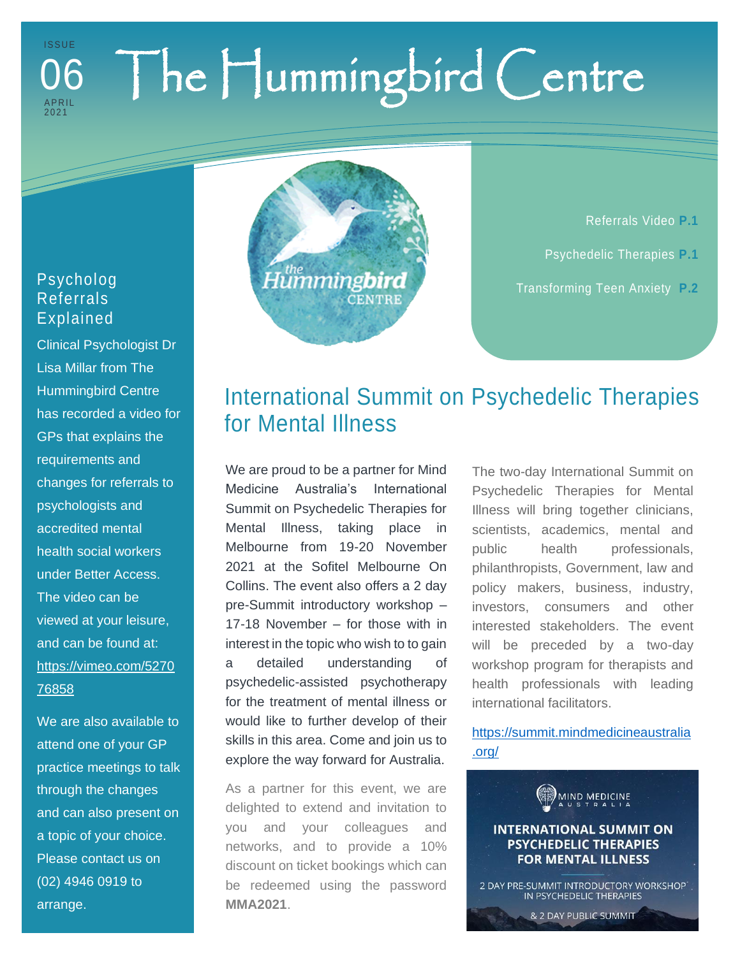## The Hummingbird Centre I S S U E **APRIL** 202 1 06

## Psycholog Referrals Explained

Clinical Psychologist Dr Lisa Millar from The Hummingbird Centre has recorded a video for GPs that explains the requirements and changes for referrals to psychologists and accredited mental health social workers under Better Access. The video can be viewed at your leisure, and can be found at: [https://vimeo.com/5270](https://vimeo.com/527076858) [76858](https://vimeo.com/527076858)

We are also available to attend one of your GP practice meetings to talk through the changes and can also present on a topic of your choice. Please contact us on (02) 4946 0919 to arrange.



Referrals Video **P.1** Psychedelic Therapies **P.1** Transforming Teen Anxiety **P.2**

## International Summit on Psychedelic Therapies for Mental Illness

We are proud to be a partner for Mind Medicine Australia's International Summit on Psychedelic Therapies for Mental Illness, taking place in Melbourne from 19-20 November 2021 at the Sofitel Melbourne On Collins. The event also offers a 2 day pre-Summit introductory workshop – 17-18 November – for those with in interest in the topic who wish to to gain a detailed understanding of psychedelic-assisted psychotherapy for the treatment of mental illness or would like to further develop of their skills in this area. Come and join us to explore the way forward for Australia.

As a partner for this event, we are delighted to extend and invitation to you and your colleagues and networks, and to provide a 10% discount on ticket bookings which can be redeemed using the password **MMA2021**.

The two-day International Summit on Psychedelic Therapies for Mental Illness will bring together clinicians, scientists, academics, mental and public health professionals, philanthropists, Government, law and policy makers, business, industry, investors, consumers and other interested stakeholders. The event will be preceded by a two-day workshop program for therapists and health professionals with leading international facilitators.

[https://summit.mindmedicineaustralia](https://summit.mindmedicineaustralia.org/) [.org/](https://summit.mindmedicineaustralia.org/)